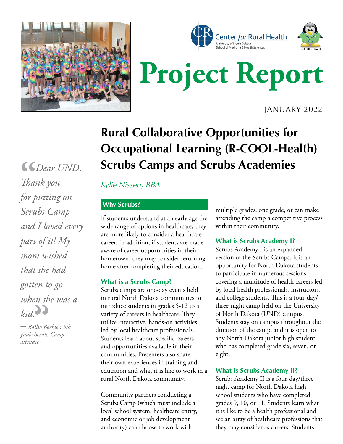



# **Project Report**

JANUARY 2022

### **Rural Collaborative Opportunities for Occupational Learning (R-COOL-Health) Scrubs Camps and Scrubs Academies**

*Kylie Nissen, BBA*

#### **Why Scrubs?**

If students understand at an early age the wide range of options in healthcare, they are more likely to consider a healthcare career. In addition, if students are made aware of career opportunities in their hometown, they may consider returning home after completing their education.

#### **What is a Scrubs Camp?**

Scrubs camps are one-day events held in rural North Dakota communities to introduce students in grades 5-12 to a variety of careers in healthcare. They utilize interactive, hands-on activities led by local healthcare professionals. Students learn about specific careers and opportunities available in their communities. Presenters also share their own experiences in training and education and what it is like to work in a rural North Dakota community.

Community partners conducting a Scrubs Camp (which must include a local school system, healthcare entity, and economic or job development authority) can choose to work with

multiple grades, one grade, or can make attending the camp a competitive process within their community.

#### **What is Scrubs Academy I?**

Scrubs Academy I is an expanded version of the Scrubs Camps. It is an opportunity for North Dakota students to participate in numerous sessions covering a multitude of health careers led by local health professionals, instructors, and college students. This is a four-day/ three-night camp held on the University of North Dakota (UND) campus. Students stay on campus throughout the duration of the camp, and it is open to any North Dakota junior high student who has completed grade six, seven, or eight.

#### **What Is Scrubs Academy II?**

Scrubs Academy II is a four-day/threenight camp for North Dakota high school students who have completed grades 9, 10, or 11. Students learn what it is like to be a health professional and see an array of healthcare professions that they may consider as careers. Students

 *Dear UND, Thank you for putting on Scrubs Camp and I loved every part of it! My mom wished that she had gotten to go when she was a*   $kid$ . **66**<br>That

*– Bailio Boehler, 5th grade Scrubs Camp attendee*